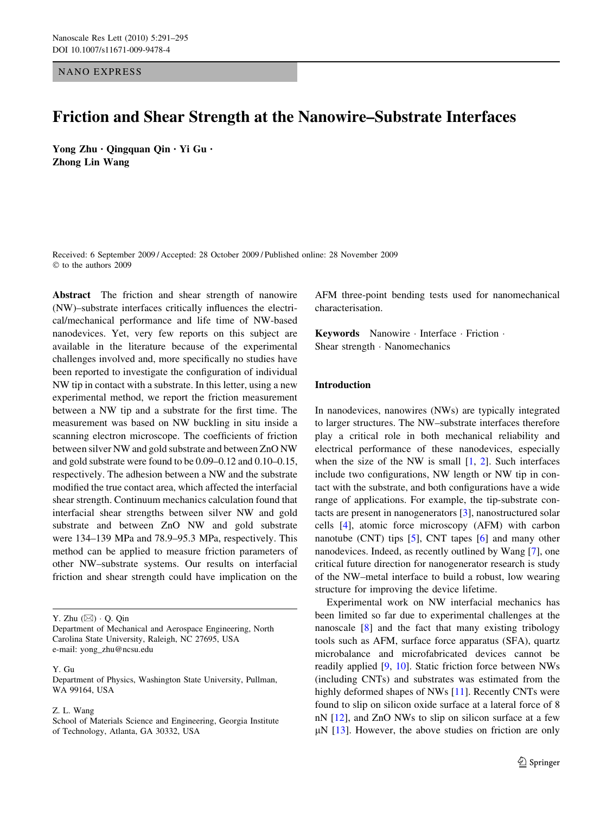NANO EXPRESS

# Friction and Shear Strength at the Nanowire–Substrate Interfaces

Yong Zhu • Qingquan Qin • Yi Gu • Zhong Lin Wang

Received: 6 September 2009 / Accepted: 28 October 2009 / Published online: 28 November 2009  $©$  to the authors 2009

Abstract The friction and shear strength of nanowire (NW)–substrate interfaces critically influences the electrical/mechanical performance and life time of NW-based nanodevices. Yet, very few reports on this subject are available in the literature because of the experimental challenges involved and, more specifically no studies have been reported to investigate the configuration of individual NW tip in contact with a substrate. In this letter, using a new experimental method, we report the friction measurement between a NW tip and a substrate for the first time. The measurement was based on NW buckling in situ inside a scanning electron microscope. The coefficients of friction between silver NW and gold substrate and between ZnO NW and gold substrate were found to be 0.09–0.12 and 0.10–0.15, respectively. The adhesion between a NW and the substrate modified the true contact area, which affected the interfacial shear strength. Continuum mechanics calculation found that interfacial shear strengths between silver NW and gold substrate and between ZnO NW and gold substrate were 134–139 MPa and 78.9–95.3 MPa, respectively. This method can be applied to measure friction parameters of other NW–substrate systems. Our results on interfacial friction and shear strength could have implication on the

#### Y. Gu

Department of Physics, Washington State University, Pullman, WA 99164, USA

Z. L. Wang

AFM three-point bending tests used for nanomechanical characterisation.

Keywords Nanowire Interface Friction Shear strength  $\cdot$  Nanomechanics

# Introduction

In nanodevices, nanowires (NWs) are typically integrated to larger structures. The NW–substrate interfaces therefore play a critical role in both mechanical reliability and electrical performance of these nanodevices, especially when the size of the NW is small  $[1, 2]$  $[1, 2]$  $[1, 2]$ . Such interfaces include two configurations, NW length or NW tip in contact with the substrate, and both configurations have a wide range of applications. For example, the tip-substrate contacts are present in nanogenerators [[3\]](#page-4-0), nanostructured solar cells [\[4](#page-4-0)], atomic force microscopy (AFM) with carbon nanotube (CNT) tips [\[5](#page-4-0)], CNT tapes [\[6](#page-4-0)] and many other nanodevices. Indeed, as recently outlined by Wang [\[7](#page-4-0)], one critical future direction for nanogenerator research is study of the NW–metal interface to build a robust, low wearing structure for improving the device lifetime.

Experimental work on NW interfacial mechanics has been limited so far due to experimental challenges at the nanoscale [[8\]](#page-4-0) and the fact that many existing tribology tools such as AFM, surface force apparatus (SFA), quartz microbalance and microfabricated devices cannot be readily applied [[9,](#page-4-0) [10\]](#page-4-0). Static friction force between NWs (including CNTs) and substrates was estimated from the highly deformed shapes of NWs [[11\]](#page-4-0). Recently CNTs were found to slip on silicon oxide surface at a lateral force of 8 nN [[12\]](#page-4-0), and ZnO NWs to slip on silicon surface at a few  $\mu$ N [[13\]](#page-4-0). However, the above studies on friction are only

Y. Zhu  $(\boxtimes) \cdot$  O. Qin

Department of Mechanical and Aerospace Engineering, North Carolina State University, Raleigh, NC 27695, USA e-mail: yong\_zhu@ncsu.edu

School of Materials Science and Engineering, Georgia Institute of Technology, Atlanta, GA 30332, USA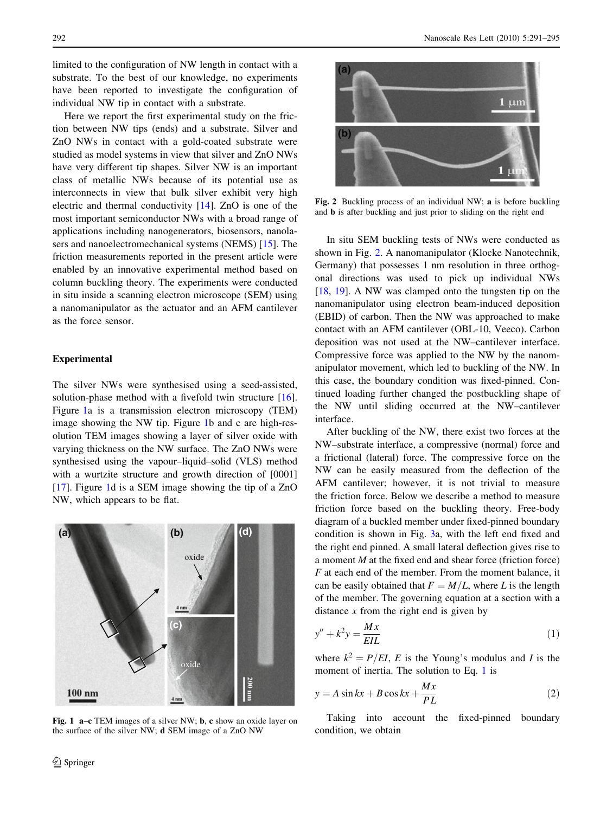<span id="page-1-0"></span>limited to the configuration of NW length in contact with a substrate. To the best of our knowledge, no experiments have been reported to investigate the configuration of individual NW tip in contact with a substrate.

Here we report the first experimental study on the friction between NW tips (ends) and a substrate. Silver and ZnO NWs in contact with a gold-coated substrate were studied as model systems in view that silver and ZnO NWs have very different tip shapes. Silver NW is an important class of metallic NWs because of its potential use as interconnects in view that bulk silver exhibit very high electric and thermal conductivity [\[14](#page-4-0)]. ZnO is one of the most important semiconductor NWs with a broad range of applications including nanogenerators, biosensors, nanolasers and nanoelectromechanical systems (NEMS) [\[15](#page-4-0)]. The friction measurements reported in the present article were enabled by an innovative experimental method based on column buckling theory. The experiments were conducted in situ inside a scanning electron microscope (SEM) using a nanomanipulator as the actuator and an AFM cantilever as the force sensor.

## Experimental

The silver NWs were synthesised using a seed-assisted, solution-phase method with a fivefold twin structure [\[16](#page-4-0)]. Figure 1a is a transmission electron microscopy (TEM) image showing the NW tip. Figure 1b and c are high-resolution TEM images showing a layer of silver oxide with varying thickness on the NW surface. The ZnO NWs were synthesised using the vapour–liquid–solid (VLS) method with a wurtzite structure and growth direction of [0001] [\[17](#page-4-0)]. Figure 1d is a SEM image showing the tip of a ZnO NW, which appears to be flat.



Fig. 1 a–c TEM images of a silver NW; b, c show an oxide layer on the surface of the silver NW; d SEM image of a ZnO NW



Fig. 2 Buckling process of an individual NW; a is before buckling and b is after buckling and just prior to sliding on the right end

In situ SEM buckling tests of NWs were conducted as shown in Fig. 2. A nanomanipulator (Klocke Nanotechnik, Germany) that possesses 1 nm resolution in three orthogonal directions was used to pick up individual NWs [\[18](#page-4-0), [19](#page-4-0)]. A NW was clamped onto the tungsten tip on the nanomanipulator using electron beam-induced deposition (EBID) of carbon. Then the NW was approached to make contact with an AFM cantilever (OBL-10, Veeco). Carbon deposition was not used at the NW–cantilever interface. Compressive force was applied to the NW by the nanomanipulator movement, which led to buckling of the NW. In this case, the boundary condition was fixed-pinned. Continued loading further changed the postbuckling shape of the NW until sliding occurred at the NW–cantilever interface.

After buckling of the NW, there exist two forces at the NW–substrate interface, a compressive (normal) force and a frictional (lateral) force. The compressive force on the NW can be easily measured from the deflection of the AFM cantilever; however, it is not trivial to measure the friction force. Below we describe a method to measure friction force based on the buckling theory. Free-body diagram of a buckled member under fixed-pinned boundary condition is shown in Fig. [3](#page-2-0)a, with the left end fixed and the right end pinned. A small lateral deflection gives rise to a moment  $M$  at the fixed end and shear force (friction force) F at each end of the member. From the moment balance, it can be easily obtained that  $F = M/L$ , where L is the length of the member. The governing equation at a section with a distance  $x$  from the right end is given by

$$
y'' + k^2 y = \frac{Mx}{EIL} \tag{1}
$$

where  $k^2 = P/EI$ , E is the Young's modulus and I is the moment of inertia. The solution to Eq. 1 is

$$
y = A\sin kx + B\cos kx + \frac{Mx}{PL}
$$
 (2)

Taking into account the fixed-pinned boundary condition, we obtain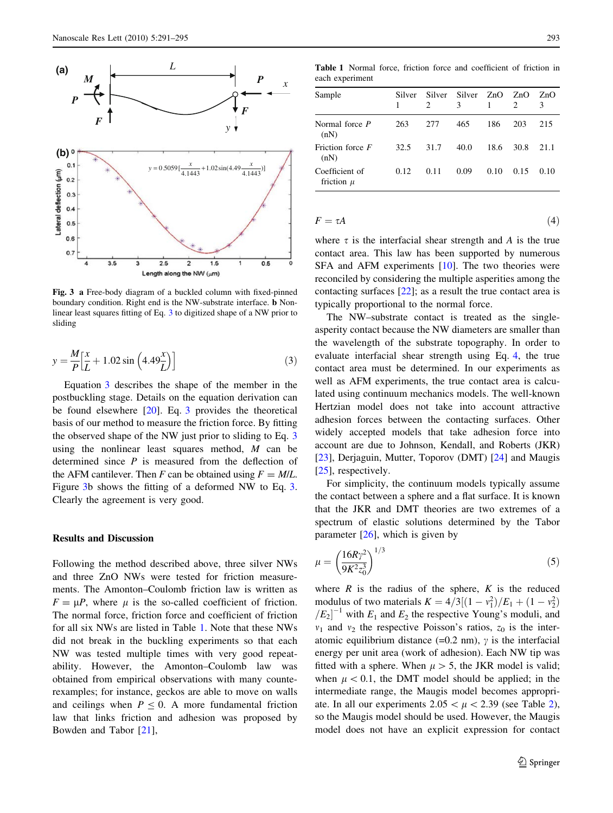<span id="page-2-0"></span>

Fig. 3 a Free-body diagram of a buckled column with fixed-pinned boundary condition. Right end is the NW-substrate interface. b Nonlinear least squares fitting of Eq. [3](#page-1-0) to digitized shape of a NW prior to sliding

$$
y = \frac{M}{P} \left[ \frac{x}{L} + 1.02 \sin \left( 4.49 \frac{x}{L} \right) \right]
$$
 (3)

Equation [3](#page-1-0) describes the shape of the member in the postbuckling stage. Details on the equation derivation can be found elsewhere  $[20]$  $[20]$ . Eq. [3](#page-1-0) provides the theoretical basis of our method to measure the friction force. By fitting the observed shape of the NW just prior to sliding to Eq. [3](#page-1-0) using the nonlinear least squares method,  $M$  can be determined since  $P$  is measured from the deflection of the AFM cantilever. Then F can be obtained using  $F = M/L$ . Figure 3b shows the fitting of a deformed NW to Eq. [3.](#page-1-0) Clearly the agreement is very good.

#### Results and Discussion

Following the method described above, three silver NWs and three ZnO NWs were tested for friction measurements. The Amonton–Coulomb friction law is written as  $F = \mu P$ , where  $\mu$  is the so-called coefficient of friction. The normal force, friction force and coefficient of friction for all six NWs are listed in Table 1. Note that these NWs did not break in the buckling experiments so that each NW was tested multiple times with very good repeatability. However, the Amonton–Coulomb law was obtained from empirical observations with many counterexamples; for instance, geckos are able to move on walls and ceilings when  $P \leq 0$ . A more fundamental friction law that links friction and adhesion was proposed by Bowden and Tabor [\[21](#page-4-0)],

Table 1 Normal force, friction force and coefficient of friction in each experiment

| Sample                           | Silver | Silver<br>$\mathfrak{D}$ | Silver ZnO<br>3 |      | ZnO<br>$\mathfrak{D}$ | ZnO  |
|----------------------------------|--------|--------------------------|-----------------|------|-----------------------|------|
| Normal force <i>P</i><br>(nN)    | 263    | 277                      | 465             | 186  | 203                   | 215  |
| Friction force F<br>(nN)         | 32.5   | 31.7                     | 40.0            | 18.6 | 30.8                  | 21.1 |
| Coefficient of<br>friction $\mu$ | 0.12   | 0.11                     | 0.09            | 0.10 | 0.15                  | 0.10 |

$$
F = \tau A \tag{4}
$$

where  $\tau$  is the interfacial shear strength and A is the true contact area. This law has been supported by numerous SFA and AFM experiments [[10\]](#page-4-0). The two theories were reconciled by considering the multiple asperities among the contacting surfaces [[22\]](#page-4-0); as a result the true contact area is typically proportional to the normal force.

The NW–substrate contact is treated as the singleasperity contact because the NW diameters are smaller than the wavelength of the substrate topography. In order to evaluate interfacial shear strength using Eq. 4, the true contact area must be determined. In our experiments as well as AFM experiments, the true contact area is calculated using continuum mechanics models. The well-known Hertzian model does not take into account attractive adhesion forces between the contacting surfaces. Other widely accepted models that take adhesion force into account are due to Johnson, Kendall, and Roberts (JKR) [\[23](#page-4-0)], Derjaguin, Mutter, Toporov (DMT) [\[24](#page-4-0)] and Maugis [\[25](#page-4-0)], respectively.

For simplicity, the continuum models typically assume the contact between a sphere and a flat surface. It is known that the JKR and DMT theories are two extremes of a spectrum of elastic solutions determined by the Tabor parameter  $[26]$  $[26]$ , which is given by

$$
\mu = \left(\frac{16R\gamma^2}{9K^2 z_0^3}\right)^{1/3} \tag{5}
$$

where  $R$  is the radius of the sphere,  $K$  is the reduced modulus of two materials  $K = 4/3[(1 - v_1^2)/E_1 + (1 - v_2^2)]$  $|E_2|^{-1}$  with  $E_1$  and  $E_2$  the respective Young's moduli, and  $v_1$  and  $v_2$  the respective Poisson's ratios,  $z_0$  is the interatomic equilibrium distance (=0.2 nm),  $\gamma$  is the interfacial energy per unit area (work of adhesion). Each NW tip was fitted with a sphere. When  $\mu > 5$ , the JKR model is valid; when  $\mu$  < 0.1, the DMT model should be applied; in the intermediate range, the Maugis model becomes appropriate. In all our experiments  $2.05 < \mu < 2.39$  $2.05 < \mu < 2.39$  (see Table 2), so the Maugis model should be used. However, the Maugis model does not have an explicit expression for contact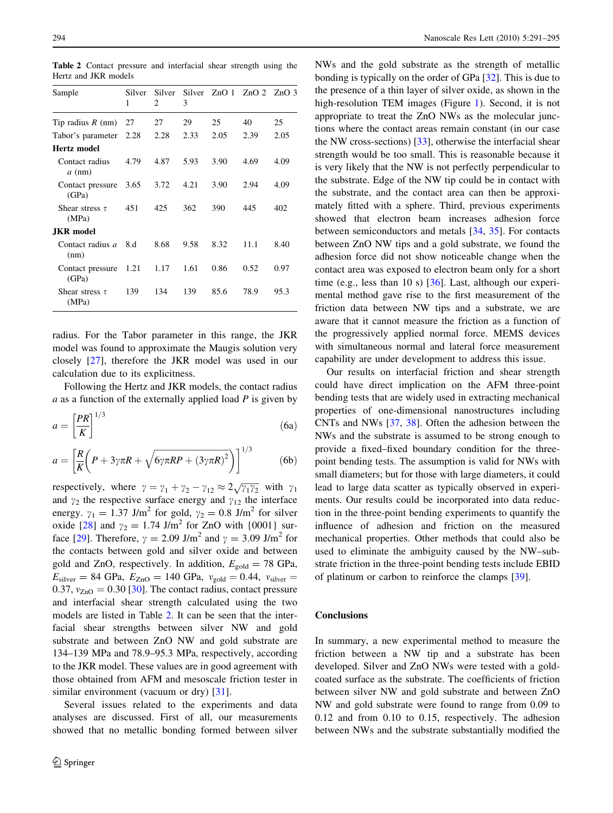<span id="page-3-0"></span>Table 2 Contact pressure and interfacial shear strength using the Hertz and JKR models

| Sample                       | Silver<br>1 | Silver<br>2 | 3    | Silver ZnO 1 | $ZnO2$ $ZnO3$ |      |
|------------------------------|-------------|-------------|------|--------------|---------------|------|
| Tip radius $R$ (nm)          | 27          | 27          | 29   | 25           | 40            | 25   |
| Tabor's parameter            | 2.28        | 2.28        | 2.33 | 2.05         | 2.39          | 2.05 |
| Hertz model                  |             |             |      |              |               |      |
| Contact radius<br>$a$ (nm)   | 4.79        | 4.87        | 5.93 | 3.90         | 4.69          | 4.09 |
| Contact pressure<br>(GPa)    | 3.65        | 3.72        | 4.21 | 3.90         | 2.94          | 4.09 |
| Shear stress $\tau$<br>(MPa) | 451         | 425         | 362  | 390          | 445           | 402  |
| <b>JKR</b> model             |             |             |      |              |               |      |
| Contact radius a<br>(nm)     | 8.d         | 8.68        | 9.58 | 8.32         | 11.1          | 8.40 |
| Contact pressure<br>(GPa)    | 1.21        | 1.17        | 1.61 | 0.86         | 0.52          | 0.97 |
| Shear stress $\tau$<br>(MPa) | 139         | 134         | 139  | 85.6         | 78.9          | 95.3 |

radius. For the Tabor parameter in this range, the JKR model was found to approximate the Maugis solution very closely [[27\]](#page-4-0), therefore the JKR model was used in our calculation due to its explicitness.

Following the Hertz and JKR models, the contact radius  $a$  as a function of the externally applied load  $P$  is given by

$$
a = \left[\frac{PR}{K}\right]^{1/3} \tag{6a}
$$

$$
a = \left[\frac{R}{K}\left(P + 3\gamma\pi R + \sqrt{6\gamma\pi R P + (3\gamma\pi R)^2}\right)\right]^{1/3}
$$
 (6b)

respectively, where  $\gamma = \gamma_1 + \gamma_2 - \gamma_{12} \approx 2\sqrt{\gamma_1 \gamma_2}$  with  $\gamma_1$ and  $\gamma_2$  the respective surface energy and  $\gamma_{12}$  the interface energy.  $\gamma_1 = 1.37 \text{ J/m}^2$  for gold,  $\gamma_2 = 0.8 \text{ J/m}^2$  for silver oxide [\[28](#page-4-0)] and  $\gamma_2 = 1.74 \text{ J/m}^2$  for ZnO with {0001} sur-face [\[29](#page-4-0)]. Therefore,  $\gamma = 2.09$  J/m<sup>2</sup> and  $\gamma = 3.09$  J/m<sup>2</sup> for the contacts between gold and silver oxide and between gold and ZnO, respectively. In addition,  $E_{\text{gold}} = 78$  GPa,  $E_{\text{silver}} = 84 \text{ GPa}, E_{\text{ZnO}} = 140 \text{ GPa}, v_{\text{gold}} = 0.44, v_{\text{silver}} =$ 0.37,  $v_{ZnO} = 0.30$  [[30\]](#page-4-0). The contact radius, contact pressure and interfacial shear strength calculated using the two models are listed in Table 2. It can be seen that the interfacial shear strengths between silver NW and gold substrate and between ZnO NW and gold substrate are 134–139 MPa and 78.9–95.3 MPa, respectively, according to the JKR model. These values are in good agreement with those obtained from AFM and mesoscale friction tester in similar environment (vacuum or dry) [\[31](#page-4-0)].

Several issues related to the experiments and data analyses are discussed. First of all, our measurements showed that no metallic bonding formed between silver NWs and the gold substrate as the strength of metallic bonding is typically on the order of GPa [\[32](#page-4-0)]. This is due to the presence of a thin layer of silver oxide, as shown in the high-resolution TEM images (Figure [1](#page-1-0)). Second, it is not appropriate to treat the ZnO NWs as the molecular junctions where the contact areas remain constant (in our case the NW cross-sections) [\[33](#page-4-0)], otherwise the interfacial shear strength would be too small. This is reasonable because it is very likely that the NW is not perfectly perpendicular to the substrate. Edge of the NW tip could be in contact with the substrate, and the contact area can then be approximately fitted with a sphere. Third, previous experiments showed that electron beam increases adhesion force between semiconductors and metals [\[34](#page-4-0), [35](#page-4-0)]. For contacts between ZnO NW tips and a gold substrate, we found the adhesion force did not show noticeable change when the contact area was exposed to electron beam only for a short time (e.g., less than 10 s) [[36\]](#page-4-0). Last, although our experimental method gave rise to the first measurement of the friction data between NW tips and a substrate, we are aware that it cannot measure the friction as a function of the progressively applied normal force. MEMS devices with simultaneous normal and lateral force measurement capability are under development to address this issue.

Our results on interfacial friction and shear strength could have direct implication on the AFM three-point bending tests that are widely used in extracting mechanical properties of one-dimensional nanostructures including CNTs and NWs [[37,](#page-4-0) [38\]](#page-4-0). Often the adhesion between the NWs and the substrate is assumed to be strong enough to provide a fixed–fixed boundary condition for the threepoint bending tests. The assumption is valid for NWs with small diameters; but for those with large diameters, it could lead to large data scatter as typically observed in experiments. Our results could be incorporated into data reduction in the three-point bending experiments to quantify the influence of adhesion and friction on the measured mechanical properties. Other methods that could also be used to eliminate the ambiguity caused by the NW–substrate friction in the three-point bending tests include EBID of platinum or carbon to reinforce the clamps [\[39](#page-4-0)].

### **Conclusions**

In summary, a new experimental method to measure the friction between a NW tip and a substrate has been developed. Silver and ZnO NWs were tested with a goldcoated surface as the substrate. The coefficients of friction between silver NW and gold substrate and between ZnO NW and gold substrate were found to range from 0.09 to 0.12 and from 0.10 to 0.15, respectively. The adhesion between NWs and the substrate substantially modified the